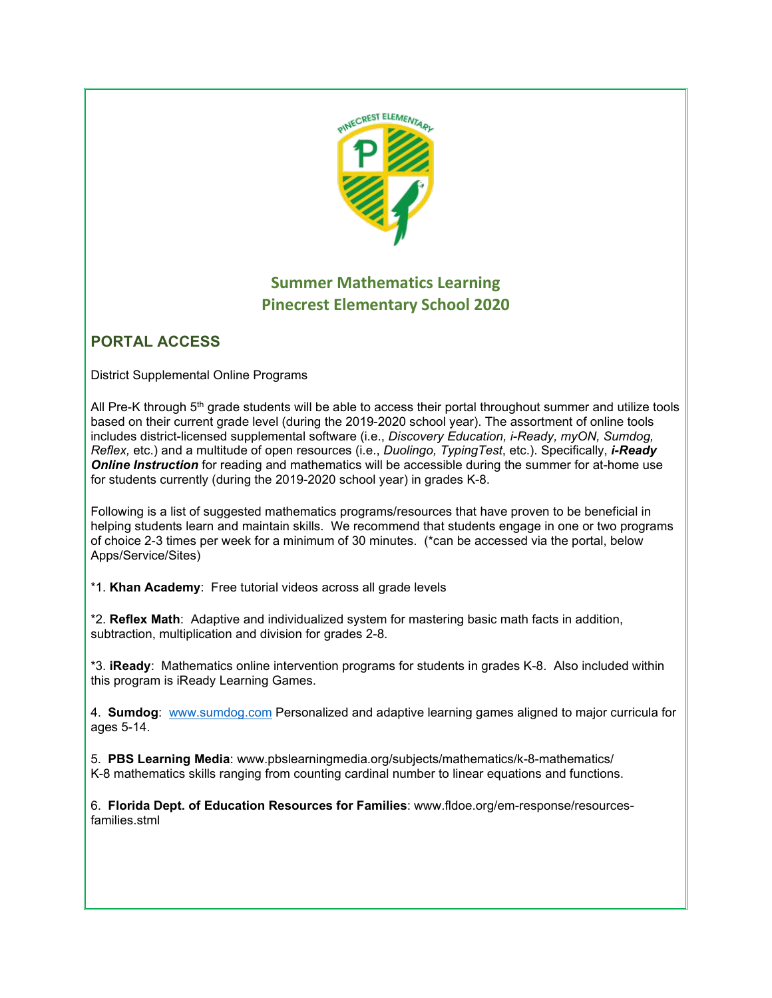

# **Summer Mathematics Learning Pinecrest Elementary School 2020**

# **PORTAL ACCESS**

District Supplemental Online Programs

All Pre-K through 5<sup>th</sup> grade students will be able to access their portal throughout summer and utilize tools based on their current grade level (during the 2019-2020 school year). The assortment of online tools includes district-licensed supplemental software (i.e., *Discovery Education, i-Ready, myON, Sumdog, Reflex,* etc.) and a multitude of open resources (i.e., *Duolingo, TypingTest*, etc.). Specifically, *i-Ready Online Instruction* for reading and mathematics will be accessible during the summer for at-home use for students currently (during the 2019-2020 school year) in grades K-8.

Following is a list of suggested mathematics programs/resources that have proven to be beneficial in helping students learn and maintain skills. We recommend that students engage in one or two programs of choice 2-3 times per week for a minimum of 30 minutes. (\*can be accessed via the portal, below Apps/Service/Sites)

\*1. **Khan Academy**: Free tutorial videos across all grade levels

\*2. **Reflex Math**: Adaptive and individualized system for mastering basic math facts in addition, subtraction, multiplication and division for grades 2-8.

\*3. **iReady**: Mathematics online intervention programs for students in grades K-8. Also included within this program is iReady Learning Games.

4. **Sumdog**: [www.sumdog.com](http://www.sumdog.com/) Personalized and adaptive learning games aligned to major curricula for ages 5-14.

5. **PBS Learning Media**: www.pbslearningmedia.org/subjects/mathematics/k-8-mathematics/ K-8 mathematics skills ranging from counting cardinal number to linear equations and functions.

6. **Florida Dept. of Education Resources for Families**: www.fldoe.org/em-response/resourcesfamilies.stml